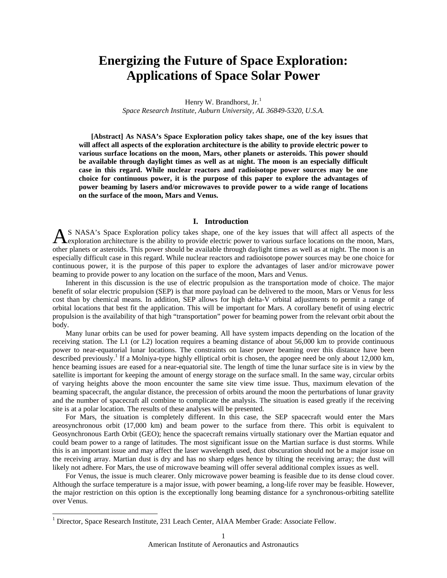# **Energizing the Future of Space Exploration: Applications of Space Solar Power**

Henry W. Brandhorst, Jr.<sup>[1](#page-0-0)</sup> *Space Research Institute, Auburn University, AL 36849-5320, U.S.A.* 

 **[Abstract] As NASA's Space Exploration policy takes shape, one of the key issues that will affect all aspects of the exploration architecture is the ability to provide electric power to various surface locations on the moon, Mars, other planets or asteroids. This power should be available through daylight times as well as at night. The moon is an especially difficult case in this regard. While nuclear reactors and radioisotope power sources may be one choice for continuous power, it is the purpose of this paper to explore the advantages of power beaming by lasers and/or microwaves to provide power to a wide range of locations on the surface of the moon, Mars and Venus.** 

## **I. Introduction**

S NASA's Space Exploration policy takes shape, one of the key issues that will affect all aspects of the AS NASA's Space Exploration policy takes shape, one of the key issues that will affect all aspects of the exploration architecture is the ability to provide electric power to various surface locations on the moon, Mars, other planets or asteroids. This power should be available through daylight times as well as at night. The moon is an especially difficult case in this regard. While nuclear reactors and radioisotope power sources may be one choice for continuous power, it is the purpose of this paper to explore the advantages of laser and/or microwave power beaming to provide power to any location on the surface of the moon, Mars and Venus.

Inherent in this discussion is the use of electric propulsion as the transportation mode of choice. The major benefit of solar electric propulsion (SEP) is that more payload can be delivered to the moon, Mars or Venus for less cost than by chemical means. In addition, SEP allows for high delta-V orbital adjustments to permit a range of orbital locations that best fit the application. This will be important for Mars. A corollary benefit of using electric propulsion is the availability of that high "transportation" power for beaming power from the relevant orbit about the body.

Many lunar orbits can be used for power beaming. All have system impacts depending on the location of the receiving station. The L1 (or L2) location requires a beaming distance of about 56,000 km to provide continuous power to near-equatorial lunar locations. The constraints on laser power beaming over this distance have been described previously.<sup>1</sup> If a Molniya-type highly elliptical orbit is chosen, the apogee need be only about 12,000 km, hence beaming issues are eased for a near-equatorial site. The length of time the lunar surface site is in view by the satellite is important for keeping the amount of energy storage on the surface small. In the same way, circular orbits of varying heights above the moon encounter the same site view time issue. Thus, maximum elevation of the beaming spacecraft, the angular distance, the precession of orbits around the moon the perturbations of lunar gravity and the number of spacecraft all combine to complicate the analysis. The situation is eased greatly if the receiving site is at a polar location. The results of these analyses will be presented.

For Mars, the situation is completely different. In this case, the SEP spacecraft would enter the Mars areosynchronous orbit (17,000 km) and beam power to the surface from there. This orbit is equivalent to Geosynchronous Earth Orbit (GEO); hence the spacecraft remains virtually stationary over the Martian equator and could beam power to a range of latitudes. The most significant issue on the Martian surface is dust storms. While this is an important issue and may affect the laser wavelength used, dust obscuration should not be a major issue on the receiving array. Martian dust is dry and has no sharp edges hence by tilting the receiving array; the dust will likely not adhere. For Mars, the use of microwave beaming will offer several additional complex issues as well.

For Venus, the issue is much clearer. Only microwave power beaming is feasible due to its dense cloud cover. Although the surface temperature is a major issue, with power beaming, a long-life rover may be feasible. However, the major restriction on this option is the exceptionally long beaming distance for a synchronous-orbiting satellite over Venus.

 $\overline{a}$ 

<span id="page-0-0"></span><sup>&</sup>lt;sup>1</sup> Director, Space Research Institute, 231 Leach Center, AIAA Member Grade: Associate Fellow.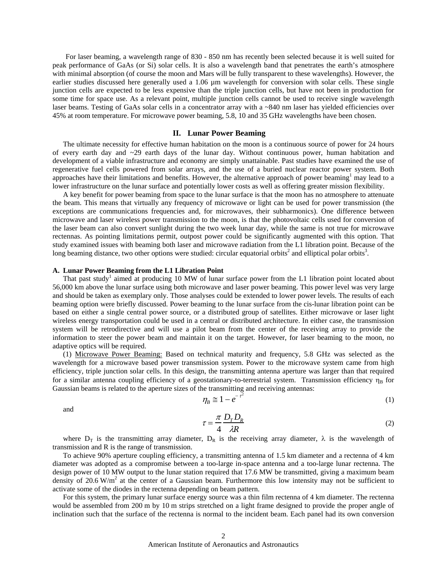For laser beaming, a wavelength range of 830 - 850 nm has recently been selected because it is well suited for peak performance of GaAs (or Si) solar cells. It is also a wavelength band that penetrates the earth's atmosphere with minimal absorption (of course the moon and Mars will be fully transparent to these wavelengths). However, the earlier studies discussed here generally used a 1.06  $\mu$ m wavelength for conversion with solar cells. These single junction cells are expected to be less expensive than the triple junction cells, but have not been in production for some time for space use. As a relevant point, multiple junction cells cannot be used to receive single wavelength laser beams. Testing of GaAs solar cells in a concentrator array with a ~840 nm laser has yielded efficiencies over 45% at room temperature. For microwave power beaming, 5.8, 10 and 35 GHz wavelengths have been chosen.

## **II. Lunar Power Beaming**

The ultimate necessity for effective human habitation on the moon is a continuous source of power for 24 hours of every earth day and ~29 earth days of the lunar day. Without continuous power, human habitation and development of a viable infrastructure and economy are simply unattainable. Past studies have examined the use of regenerative fuel cells powered from solar arrays, and the use of a buried nuclear reactor power system. Both approaches have their limitations and benefits. However, the alternative approach of power beaming<sup>1</sup> may lead to a lower infrastructure on the lunar surface and potentially lower costs as well as offering greater mission flexibility.

A key benefit for power beaming from space to the lunar surface is that the moon has no atmosphere to attenuate the beam. This means that virtually any frequency of microwave or light can be used for power transmission (the exceptions are communications frequencies and, for microwaves, their subharmonics). One difference between microwave and laser wireless power transmission to the moon, is that the photovoltaic cells used for conversion of the laser beam can also convert sunlight during the two week lunar day, while the same is not true for microwave rectennas. As pointing limitations permit, outpost power could be significantly augmented with this option. That study examined issues with beaming both laser and microwave radiation from the L1 libration point. Because of the long beaming distance, two other options were studied: circular equatorial orbits<sup>2</sup> and elliptical polar orbits<sup>3</sup>.

## **A. Lunar Power Beaming from the L1 Libration Point**

That past study<sup>1</sup> aimed at producing 10 MW of lunar surface power from the L1 libration point located about 56,000 km above the lunar surface using both microwave and laser power beaming. This power level was very large and should be taken as exemplary only. Those analyses could be extended to lower power levels. The results of each beaming option were briefly discussed. Power beaming to the lunar surface from the cis-lunar libration point can be based on either a single central power source, or a distributed group of satellites. Either microwave or laser light wireless energy transportation could be used in a central or distributed architecture. In either case, the transmission system will be retrodirective and will use a pilot beam from the center of the receiving array to provide the information to steer the power beam and maintain it on the target. However, for laser beaming to the moon, no adaptive optics will be required.

(1) Microwave Power Beaming: Based on technical maturity and frequency, 5.8 GHz was selected as the wavelength for a microwave based power transmission system. Power to the microwave system came from high efficiency, triple junction solar cells. In this design, the transmitting antenna aperture was larger than that required for a similar antenna coupling efficiency of a geostationary-to-terrestrial system. Transmission efficiency  $\eta_B$  for Gaussian beams is related to the aperture sizes of the transmitting and receiving antennas:

and

$$
\eta_B \cong 1 - e^{-\tau^2} \tag{1}
$$

$$
\tau = \frac{\pi}{4} \frac{D_T D_R}{\lambda R} \tag{2}
$$

where  $D_T$  is the transmitting array diameter,  $D_R$  is the receiving array diameter,  $\lambda$  is the wavelength of transmission and R is the range of transmission.

To achieve 90% aperture coupling efficiency, a transmitting antenna of 1.5 km diameter and a rectenna of 4 km diameter was adopted as a compromise between a too-large in-space antenna and a too-large lunar rectenna. The design power of 10 MW output to the lunar station required that 17.6 MW be transmitted, giving a maximum beam density of  $20.6 \text{ W/m}^2$  at the center of a Gaussian beam. Furthermore this low intensity may not be sufficient to activate some of the diodes in the rectenna depending on beam pattern.

For this system, the primary lunar surface energy source was a thin film rectenna of 4 km diameter. The rectenna would be assembled from 200 m by 10 m strips stretched on a light frame designed to provide the proper angle of inclination such that the surface of the rectenna is normal to the incident beam. Each panel had its own conversion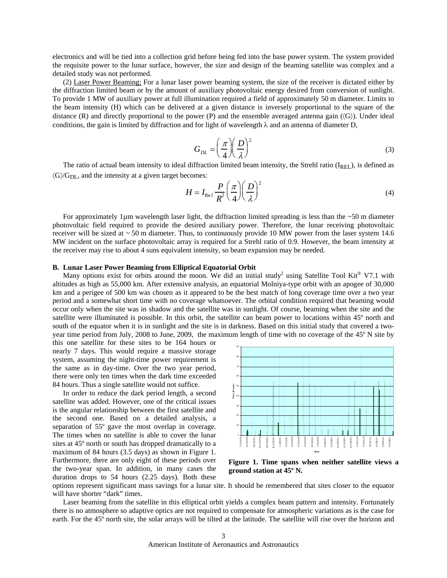electronics and will be tied into a collection grid before being fed into the base power system. The system provided the requisite power to the lunar surface, however, the size and design of the beaming satellite was complex and a detailed study was not performed.

(2) Laser Power Beaming; For a lunar laser power beaming system, the size of the receiver is dictated either by the diffraction limited beam or by the amount of auxiliary photovoltaic energy desired from conversion of sunlight. To provide 1 MW of auxiliary power at full illumination required a field of approximately 50 m diameter. Limits to the beam intensity (H) which can be delivered at a given distance is inversely proportional to the square of the distance (R) and directly proportional to the power (P) and the ensemble averaged antenna gain  $(\langle G \rangle)$ . Under ideal conditions, the gain is limited by diffraction and for light of wavelength  $\lambda$  and an antenna of diameter D,

$$
G_{DL} = \left(\frac{\pi}{4}\right)\left(\frac{D}{\lambda}\right)^2\tag{3}
$$

The ratio of actual beam intensity to ideal diffraction limited beam intensity, the Strehl ratio ( $I_{\text{REI}}$ ), is defined as  $\langle G \rangle / G_{DL}$ , and the intensity at a given target becomes:

$$
H = I_{\text{Re}l} \frac{P}{R^2} \left(\frac{\pi}{4}\right) \left(\frac{D}{\lambda}\right)^2 \tag{4}
$$

For approximately 1 $\mu$ m wavelength laser light, the diffraction limited spreading is less than the ~50 m diameter photovoltaic field required to provide the desired auxiliary power. Therefore, the lunar receiving photovoltaic receiver will be sized at  $\sim$  50 m diameter. Thus, to continuously provide 10 MW power from the laser system 14.6 MW incident on the surface photovoltaic array is required for a Strehl ratio of 0.9. However, the beam intensity at the receiver may rise to about 4 suns equivalent intensity, so beam expansion may be needed.

## **B. Lunar Laser Power Beaming from Elliptical Equatorial Orbit**

Many options exist for orbits around the moon. We did an initial study<sup>2</sup> using Satellite Tool Kit® V7.1 with altitudes as high as 55,000 km. After extensive analysis, an equatorial Molniya-type orbit with an apogee of 30,000 km and a perigee of 500 km was chosen as it appeared to be the best match of long coverage time over a two year period and a somewhat short time with no coverage whatsoever. The orbital condition required that beaming would occur only when the site was in shadow and the satellite was in sunlight. Of course, beaming when the site and the satellite were illuminated is possible. In this orbit, the satellite can beam power to locations within 45º north and south of the equator when it is in sunlight and the site is in darkness. Based on this initial study that covered a twoyear time period from July, 2008 to June, 2009, the maximum length of time with no coverage of the 45º N site by

this one satellite for these sites to be 164 hours or nearly 7 days. This would require a massive storage system, assuming the night-time power requirement is the same as in day-time. Over the two year period, there were only ten times when the dark time exceeded 84 hours. Thus a single satellite would not suffice.

In order to reduce the dark period length, a second satellite was added. However, one of the critical issues is the angular relationship between the first satellite and the second one. Based on a detailed analysis, a separation of 55º gave the most overlap in coverage. The times when no satellite is able to cover the lunar sites at 45º north or south has dropped dramatically to a maximum of 84 hours (3.5 days) as shown in Figure 1. Furthermore, there are only eight of these periods over the two-year span. In addition, in many cases the duration drops to 54 hours (2.25 days). Both these



**Figure 1. Time spans when neither satellite views a ground station at 45º N.** 

options represent significant mass savings for a lunar site. It should be remembered that sites closer to the equator will have shorter "dark" times.

Laser beaming from the satellite in this elliptical orbit yields a complex beam pattern and intensity. Fortunately there is no atmosphere so adaptive optics are not required to compensate for atmospheric variations as is the case for earth. For the 45º north site, the solar arrays will be tilted at the latitude. The satellite will rise over the horizon and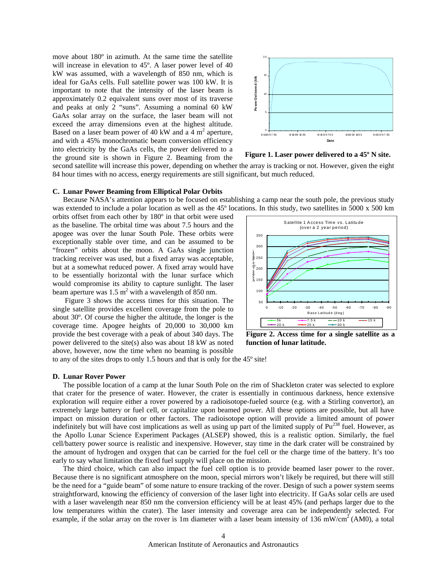move about 180º in azimuth. At the same time the satellite will increase in elevation to 45º. A laser power level of 40 kW was assumed, with a wavelength of 850 nm, which is ideal for GaAs cells. Full satellite power was 100 kW. It is important to note that the intensity of the laser beam is approximately 0.2 equivalent suns over most of its traverse and peaks at only 2 "suns". Assuming a nominal 60 kW GaAs solar array on the surface, the laser beam will not exceed the array dimensions even at the highest altitude. Based on a laser beam power of 40 kW and a  $\overline{4}$  m<sup>2</sup> aperture, and with a 45% monochromatic beam conversion efficiency into electricity by the GaAs cells, the power delivered to a the ground site is shown in Figure 2. Beaming from the



**Figure 1. Laser power delivered to a 45º N site.** 

second satellite will increase this power, depending on whether the array is tracking or not. However, given the eight 84 hour times with no access, energy requirements are still significant, but much reduced.

#### **C. Lunar Power Beaming from Elliptical Polar Orbits**

Because NASA's attention appears to be focused on establishing a camp near the south pole, the previous study was extended to include a polar location as well as the 45° locations. In this study, two satellites in 5000 x 500 km

orbits offset from each other by 180º in that orbit were used as the baseline. The orbital time was about 7.5 hours and the apogee was over the lunar South Pole. These orbits were exceptionally stable over time, and can be assumed to be "frozen" orbits about the moon. A GaAs single junction tracking receiver was used, but a fixed array was acceptable, but at a somewhat reduced power. A fixed array would have to be essentially horizontal with the lunar surface which would compromise its ability to capture sunlight. The laser beam aperture was  $1.5 \text{ m}^2$  with a wavelength of 850 nm.

 Figure 3 shows the access times for this situation. The single satellite provides excellent coverage from the pole to about 30º. Of course the higher the altitude, the longer is the coverage time. Apogee heights of 20,000 to 30,000 km provide the best coverage with a peak of about 340 days. The power delivered to the site(s) also was about 18 kW as noted above, however, now the time when no beaming is possible



**Figure 2. Access time for a single satellite as a function of lunar latitude.** 

to any of the sites drops to only 1.5 hours and that is only for the 45º site!

## **D. Lunar Rover Power**

The possible location of a camp at the lunar South Pole on the rim of Shackleton crater was selected to explore that crater for the presence of water. However, the crater is essentially in continuous darkness, hence extensive exploration will require either a rover powered by a radioisotope-fueled source (e.g. with a Stirling convertor), an extremely large battery or fuel cell, or capitalize upon beamed power. All these options are possible, but all have impact on mission duration or other factors. The radioisotope option will provide a limited amount of power indefinitely but will have cost implications as well as using up part of the limited supply of Pu<sup>238</sup> fuel. However, as the Apollo Lunar Science Experiment Packages (ALSEP) showed, this is a realistic option. Similarly, the fuel cell/battery power source is realistic and inexpensive. However, stay time in the dark crater will be constrained by the amount of hydrogen and oxygen that can be carried for the fuel cell or the charge time of the battery. It's too early to say what limitation the fixed fuel supply will place on the mission.

The third choice, which can also impact the fuel cell option is to provide beamed laser power to the rover. Because there is no significant atmosphere on the moon, special mirrors won't likely be required, but there will still be the need for a "guide beam" of some nature to ensure tracking of the rover. Design of such a power system seems straightforward, knowing the efficiency of conversion of the laser light into electricity. If GaAs solar cells are used with a laser wavelength near 850 nm the conversion efficiency will be at least 45% (and perhaps larger due to the low temperatures within the crater). The laser intensity and coverage area can be independently selected. For example, if the solar array on the rover is 1m diameter with a laser beam intensity of 136 mW/cm<sup>2</sup> (AM0), a total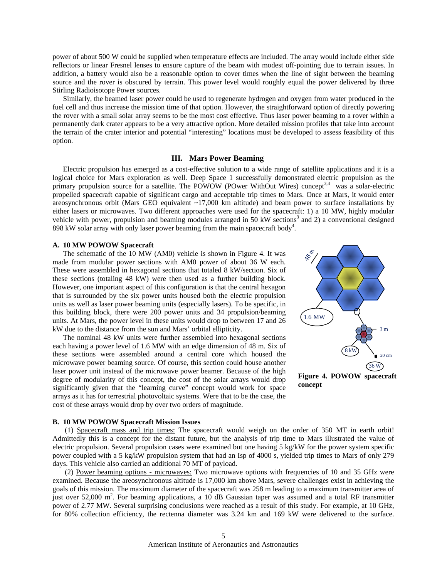power of about 500 W could be supplied when temperature effects are included. The array would include either side reflectors or linear Fresnel lenses to ensure capture of the beam with modest off-pointing due to terrain issues. In addition, a battery would also be a reasonable option to cover times when the line of sight between the beaming source and the rover is obscured by terrain. This power level would roughly equal the power delivered by three Stirling Radioisotope Power sources.

Similarly, the beamed laser power could be used to regenerate hydrogen and oxygen from water produced in the fuel cell and thus increase the mission time of that option. However, the straightforward option of directly powering the rover with a small solar array seems to be the most cost effective. Thus laser power beaming to a rover within a permanently dark crater appears to be a very attractive option. More detailed mission profiles that take into account the terrain of the crater interior and potential "interesting" locations must be developed to assess feasibility of this option.

# **III. Mars Power Beaming**

Electric propulsion has emerged as a cost-effective solution to a wide range of satellite applications and it is a logical choice for Mars exploration as well. Deep Space 1 successfully demonstrated electric propulsion as the primary propulsion source for a satellite. The POWOW (POwer WithOut Wires) concept<sup>3,4</sup> was a solar-electric propelled spacecraft capable of significant cargo and acceptable trip times to Mars. Once at Mars, it would enter areosynchronous orbit (Mars GEO equivalent ~17,000 km altitude) and beam power to surface installations by either lasers or microwaves. Two different approaches were used for the spacecraft: 1) a 10 MW, highly modular vehicle with power, propulsion and beaming modules arranged in 50 kW sections<sup>3</sup> and 2) a conventional designed 898 kW solar array with only laser power beaming from the main spacecraft body<sup>4</sup>.

## **A. 10 MW POWOW Spacecraft**

The schematic of the 10 MW (AM0) vehicle is shown in Figure 4. It was made from modular power sections with AM0 power of about 36 W each. These were assembled in hexagonal sections that totaled 8 kW/section. Six of these sections (totaling 48 kW) were then used as a further building block. However, one important aspect of this configuration is that the central hexagon that is surrounded by the six power units housed both the electric propulsion units as well as laser power beaming units (especially lasers). To be specific, in this building block, there were 200 power units and 34 propulsion/beaming units. At Mars, the power level in these units would drop to between 17 and 26 kW due to the distance from the sun and Mars' orbital ellipticity.

The nominal 48 kW units were further assembled into hexagonal sections each having a power level of 1.6 MW with an edge dimension of 48 m. Six of these sections were assembled around a central core which housed the microwave power beaming source. Of course, this section could house another laser power unit instead of the microwave power beamer. Because of the high degree of modularity of this concept, the cost of the solar arrays would drop significantly given that the "learning curve" concept would work for space arrays as it has for terrestrial photovoltaic systems. Were that to be the case, the cost of these arrays would drop by over two orders of magnitude.



**Figure 4. POWOW spacecraft concept** 

#### **B. 10 MW POWOW Spacecraft Mission Issues**

 (1) Spacecraft mass and trip times: The spacecraft would weigh on the order of 350 MT in earth orbit! Admittedly this is a concept for the distant future, but the analysis of trip time to Mars illustrated the value of electric propulsion. Several propulsion cases were examined but one having 5 kg/kW for the power system specific power coupled with a 5 kg/kW propulsion system that had an Isp of 4000 s, yielded trip times to Mars of only 279 days. This vehicle also carried an additional 70 MT of payload.

 (2) Power beaming options - microwaves: Two microwave options with frequencies of 10 and 35 GHz were examined. Because the areosynchronous altitude is 17,000 km above Mars, severe challenges exist in achieving the goals of this mission. The maximum diameter of the spacecraft was 258 m leading to a maximum transmitter area of just over 52,000 m<sup>2</sup>. For beaming applications, a 10 dB Gaussian taper was assumed and a total RF transmitter power of 2.77 MW. Several surprising conclusions were reached as a result of this study. For example, at 10 GHz, for 80% collection efficiency, the rectenna diameter was 3.24 km and 169 kW were delivered to the surface.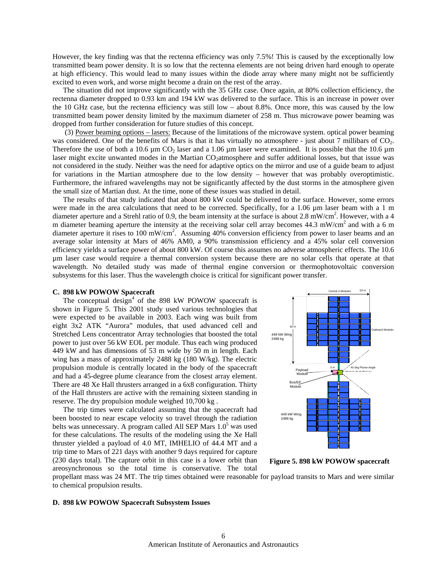However, the key finding was that the rectenna efficiency was only 7.5%! This is caused by the exceptionally low transmitted beam power density. It is so low that the rectenna elements are not being driven hard enough to operate at high efficiency. This would lead to many issues within the diode array where many might not be sufficiently excited to even work, and worse might become a drain on the rest of the array.

The situation did not improve significantly with the 35 GHz case. Once again, at 80% collection efficiency, the rectenna diameter dropped to 0.93 km and 194 kW was delivered to the surface. This is an increase in power over the 10 GHz case, but the rectenna efficiency was still low – about 8.8%. Once more, this was caused by the low transmitted beam power density limited by the maximum diameter of 258 m. Thus microwave power beaming was dropped from further consideration for future studies of this concept.

 (3) Power beaming options – lasers: Because of the limitations of the microwave system. optical power beaming was considered. One of the benefits of Mars is that it has virtually no atmosphere - just about 7 millibars of CO<sub>2</sub>. Therefore the use of both a 10.6  $\mu$ m CO<sub>2</sub> laser and a 1.06  $\mu$ m laser were examined. It is possible that the 10.6  $\mu$ m laser might excite unwanted modes in the Martian CO<sub>2</sub>atmosphere and suffer additional losses, but that issue was not considered in the study. Neither was the need for adaptive optics on the mirror and use of a guide beam to adjust for variations in the Martian atmosphere due to the low density – however that was probably overoptimistic. Furthermore, the infrared wavelengths may not be significantly affected by the dust storms in the atmosphere given the small size of Martian dust. At the time, none of these issues was studied in detail.

The results of that study indicated that about 800 kW could be delivered to the surface. However, some errors were made in the area calculations that need to be corrected. Specifically, for a 1.06  $\mu$ m laser beam with a 1 m diameter aperture and a Strehl ratio of 0.9, the beam intensity at the surface is about 2.8 mW/cm<sup>2</sup>. However, with a 4 m diameter beaming aperture the intensity at the receiving solar cell array becomes  $44.3 \text{ mW/cm}^2$  and with a 6 m diameter aperture it rises to 100 mW/cm<sup>2</sup>. Assuming 40% conversion efficiency from power to laser beams and an average solar intensity at Mars of 46% AM0, a 90% transmission efficiency and a 45% solar cell conversion efficiency yields a surface power of about 800 kW. Of course this assumes no adverse atmospheric effects. The 10.6 µm laser case would require a thermal conversion system because there are no solar cells that operate at that wavelength. No detailed study was made of thermal engine conversion or thermophotovoltaic conversion subsystems for this laser. Thus the wavelength choice is critical for significant power transfer.

## **C. 898 kW POWOW Spacecraft**

The conceptual design<sup>4</sup> of the 898 kW POWOW spacecraft is shown in Figure 5. This 2001 study used various technologies that were expected to be available in 2003. Each wing was built from eight 3x2 ATK "Aurora" modules, that used advanced cell and Stretched Lens concentrator Array technologies that boosted the total power to just over 56 kW EOL per module. Thus each wing produced 449 kW and has dimensions of 53 m wide by 50 m in length. Each wing has a mass of approximately 2488 kg (180 W/kg). The electric propulsion module is centrally located in the body of the spacecraft and had a 45-degree plume clearance from the closest array element. There are 48 Xe Hall thrusters arranged in a 6x8 configuration. Thirty of the Hall thrusters are active with the remaining sixteen standing in reserve. The dry propulsion module weighed 10,700 kg .

The trip times were calculated assuming that the spacecraft had been boosted to near escape velocity so travel through the radiation belts was unnecessary. A program called All SEP Mars 1.0<sup>5</sup> was used for these calculations. The results of the modeling using the Xe Hall thruster yielded a payload of 4.0 MT, IMHELIO of 44.4 MT and a trip time to Mars of 221 days with another 9 days required for capture (230 days total). The capture orbit in this case is a lower orbit than areosynchronous so the total time is conservative. The total



**Figure 5. 898 kW POWOW spacecraft** 

propellant mass was 24 MT. The trip times obtained were reasonable for payload transits to Mars and were similar to chemical propulsion results.

# **D. 898 kW POWOW Spacecraft Subsystem Issues**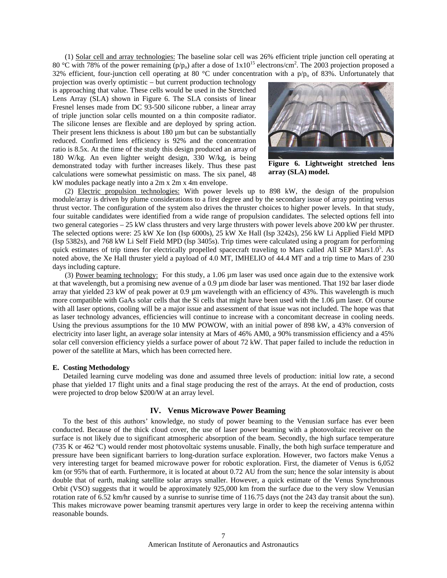(1) Solar cell and array technologies: The baseline solar cell was 26% efficient triple junction cell operating at 80 °C with 78% of the power remaining ( $p/p_0$ ) after a dose of  $1x10^{15}$  electrons/cm<sup>2</sup>. The 2003 projection proposed a 32% efficient, four-junction cell operating at 80 °C under concentration with a  $p/p_0$  of 83%. Unfortunately that

projection was overly optimistic – but current production technology is approaching that value. These cells would be used in the Stretched Lens Array (SLA) shown in Figure 6. The SLA consists of linear Fresnel lenses made from DC 93-500 silicone rubber, a linear array of triple junction solar cells mounted on a thin composite radiator. The silicone lenses are flexible and are deployed by spring action. Their present lens thickness is about 180 µm but can be substantially reduced. Confirmed lens efficiency is 92% and the concentration ratio is 8.5x. At the time of the study this design produced an array of 180 W/kg. An even lighter weight design, 330 W/kg, is being demonstrated today with further increases likely. Thus these past calculations were somewhat pessimistic on mass. The six panel, 48 kW modules package neatly into a 2m x 2m x 4m envelope.



**Figure 6. Lightweight stretched lens array (SLA) model.** 

 (2) Electric propulsion technologies: With power levels up to 898 kW, the design of the propulsion module/array is driven by plume considerations to a first degree and by the secondary issue of array pointing versus thrust vector. The configuration of the system also drives the thruster choices to higher power levels. In that study, four suitable candidates were identified from a wide range of propulsion candidates. The selected options fell into two general categories – 25 kW class thrusters and very large thrusters with power levels above 200 kW per thruster. The selected options were: 25 kW Xe Ion (Isp 6000s), 25 kW Xe Hall (Isp 3242s), 256 kW Li Applied Field MPD (Isp 5382s), and 768 kW Li Self Field MPD (Isp 3405s). Trip times were calculated using a program for performing quick estimates of trip times for electrically propelled spacecraft traveling to Mars called All SEP Mars1.0<sup>5</sup>. As noted above, the Xe Hall thruster yield a payload of 4.0 MT, IMHELIO of 44.4 MT and a trip time to Mars of 230 days including capture.

 (3) Power beaming technology: For this study, a 1.06 µm laser was used once again due to the extensive work at that wavelength, but a promising new avenue of a 0.9 µm diode bar laser was mentioned. That 192 bar laser diode array that yielded 23 kW of peak power at 0.9 µm wavelength with an efficiency of 43%. This wavelength is much more compatible with GaAs solar cells that the Si cells that might have been used with the  $1.06 \mu m$  laser. Of course with all laser options, cooling will be a major issue and assessment of that issue was not included. The hope was that as laser technology advances, efficiencies will continue to increase with a concomitant decrease in cooling needs. Using the previous assumptions for the 10 MW POWOW, with an initial power of 898 kW, a 43% conversion of electricity into laser light, an average solar intensity at Mars of 46% AM0, a 90% transmission efficiency and a 45% solar cell conversion efficiency yields a surface power of about 72 kW. That paper failed to include the reduction in power of the satellite at Mars, which has been corrected here.

#### **E. Costing Methodology**

Detailed learning curve modeling was done and assumed three levels of production: initial low rate, a second phase that yielded 17 flight units and a final stage producing the rest of the arrays. At the end of production, costs were projected to drop below \$200/W at an array level.

## **IV. Venus Microwave Power Beaming**

To the best of this authors' knowledge, no study of power beaming to the Venusian surface has ever been conducted. Because of the thick cloud cover, the use of laser power beaming with a photovoltaic receiver on the surface is not likely due to significant atmospheric absorption of the beam. Secondly, the high surface temperature (735 K or 462 ºC) would render most photovoltaic systems unusable. Finally, the both high surface temperature and pressure have been significant barriers to long-duration surface exploration. However, two factors make Venus a very interesting target for beamed microwave power for robotic exploration. First, the diameter of Venus is 6,052 km (or 95% that of earth. Furthermore, it is located at about 0.72 AU from the sun; hence the solar intensity is about double that of earth, making satellite solar arrays smaller. However, a quick estimate of the Venus Synchronous Orbit (VSO) suggests that it would be approximately 925,000 km from the surface due to the very slow Venusian rotation rate of 6.52 km/hr caused by a sunrise to sunrise time of 116.75 days (not the 243 day transit about the sun). This makes microwave power beaming transmit apertures very large in order to keep the receiving antenna within reasonable bounds.